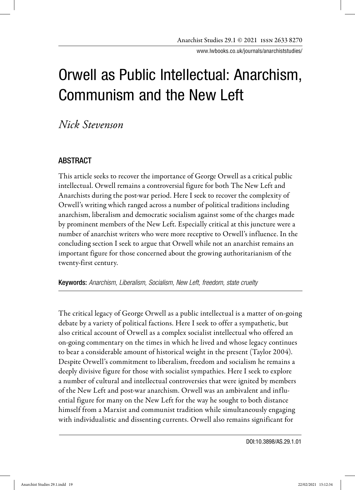www.lwbooks.co.uk/journals/anarchiststudies/

# Orwell as Public Intellectual: Anarchism, Communism and the New Left

*Nick Stevenson*

# ABSTRACT

This article seeks to recover the importance of George Orwell as a critical public intellectual. Orwell remains a controversial figure for both The New Left and Anarchists during the post-war period. Here I seek to recover the complexity of Orwell's writing which ranged across a number of political traditions including anarchism, liberalism and democratic socialism against some of the charges made by prominent members of the New Left. Especially critical at this juncture were a number of anarchist writers who were more receptive to Orwell's influence. In the concluding section I seek to argue that Orwell while not an anarchist remains an important figure for those concerned about the growing authoritarianism of the twenty-first century.

Keywords: *Anarchism, Liberalism, Socialism, New Left, freedom, state cruelty* 

The critical legacy of George Orwell as a public intellectual is a matter of on-going debate by a variety of political factions. Here I seek to offer a sympathetic, but also critical account of Orwell as a complex socialist intellectual who offered an on-going commentary on the times in which he lived and whose legacy continues to bear a considerable amount of historical weight in the present (Taylor 2004). Despite Orwell's commitment to liberalism, freedom and socialism he remains a deeply divisive figure for those with socialist sympathies. Here I seek to explore a number of cultural and intellectual controversies that were ignited by members of the New Left and post-war anarchism. Orwell was an ambivalent and influential figure for many on the New Left for the way he sought to both distance himself from a Marxist and communist tradition while simultaneously engaging with individualistic and dissenting currents. Orwell also remains significant for

DOI:10.3898/AS.29.1.01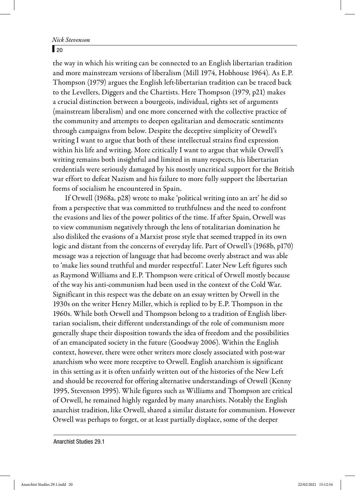#### $\sqrt{20}$

the way in which his writing can be connected to an English libertarian tradition and more mainstream versions of liberalism (Mill 1974, Hobhouse 1964). As E.P. Thompson (1979) argues the English left-libertarian tradition can be traced back to the Levellers, Diggers and the Chartists. Here Thompson (1979, p21) makes a crucial distinction between a bourgeois, individual, rights set of arguments (mainstream liberalism) and one more concerned with the collective practice of the community and attempts to deepen egalitarian and democratic sentiments through campaigns from below. Despite the deceptive simplicity of Orwell's writing I want to argue that both of these intellectual strains find expression within his life and writing. More critically I want to argue that while Orwell's writing remains both insightful and limited in many respects, his libertarian credentials were seriously damaged by his mostly uncritical support for the British war effort to defeat Nazism and his failure to more fully support the libertarian forms of socialism he encountered in Spain.

If Orwell (1968a, p28) wrote to make 'political writing into an art' he did so from a perspective that was committed to truthfulness and the need to confront the evasions and lies of the power politics of the time. If after Spain, Orwell was to view communism negatively through the lens of totalitarian domination he also disliked the evasions of a Marxist prose style that seemed trapped in its own logic and distant from the concerns of everyday life. Part of Orwell's (1968b, p170) message was a rejection of language that had become overly abstract and was able to 'make lies sound truthful and murder respectful'. Later New Left figures such as Raymond Williams and E.P. Thompson were critical of Orwell mostly because of the way his anti-communism had been used in the context of the Cold War. Significant in this respect was the debate on an essay written by Orwell in the 1930s on the writer Henry Miller, which is replied to by E.P. Thompson in the 1960s. While both Orwell and Thompson belong to a tradition of English libertarian socialism, their different understandings of the role of communism more generally shape their disposition towards the idea of freedom and the possibilities of an emancipated society in the future (Goodway 2006). Within the English context, however, there were other writers more closely associated with post-war anarchism who were more receptive to Orwell. English anarchism is significant in this setting as it is often unfairly written out of the histories of the New Left and should be recovered for offering alternative understandings of Orwell (Kenny 1995, Stevenson 1995). While figures such as Williams and Thompson are critical of Orwell, he remained highly regarded by many anarchists. Notably the English anarchist tradition, like Orwell, shared a similar distaste for communism. However Orwell was perhaps to forget, or at least partially displace, some of the deeper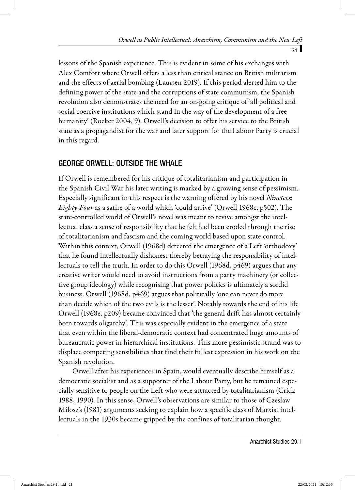lessons of the Spanish experience. This is evident in some of his exchanges with Alex Comfort where Orwell offers a less than critical stance on British militarism and the effects of aerial bombing (Laursen 2019). If this period alerted him to the defining power of the state and the corruptions of state communism, the Spanish revolution also demonstrates the need for an on-going critique of 'all political and social coercive institutions which stand in the way of the development of a free humanity' (Rocker 2004, 9). Orwell's decision to offer his service to the British state as a propagandist for the war and later support for the Labour Party is crucial in this regard.

## GEORGE ORWELL: OUTSIDE THE WHALE

If Orwell is remembered for his critique of totalitarianism and participation in the Spanish Civil War his later writing is marked by a growing sense of pessimism. Especially significant in this respect is the warning offered by his novel Nineteen Eighty-Four as a satire of a world which 'could arrive' (Orwell 1968c, p502). The state-controlled world of Orwell's novel was meant to revive amongst the intellectual class a sense of responsibility that he felt had been eroded through the rise of totalitarianism and fascism and the coming world based upon state control. Within this context, Orwell (1968d) detected the emergence of a Left 'orthodoxy' that he found intellectually dishonest thereby betraying the responsibility of intellectuals to tell the truth. In order to do this Orwell (1968d, p469) argues that any creative writer would need to avoid instructions from a party machinery (or collective group ideology) while recognising that power politics is ultimately a sordid business. Orwell (1968d, p469) argues that politically 'one can never do more than decide which of the two evils is the lesser'. Notably towards the end of his life Orwell (1968e, p209) became convinced that 'the general drift has almost certainly been towards oligarchy'. This was especially evident in the emergence of a state that even within the liberal-democratic context had concentrated huge amounts of bureaucratic power in hierarchical institutions. This more pessimistic strand was to displace competing sensibilities that find their fullest expression in his work on the Spanish revolution.

 Orwell after his experiences in Spain, would eventually describe himself as a democratic socialist and as a supporter of the Labour Party, but he remained especially sensitive to people on the Left who were attracted by totalitarianism (Crick 1988, 1990). In this sense, Orwell's observations are similar to those of Czeslaw Milosz's (1981) arguments seeking to explain how a specific class of Marxist intellectuals in the 1930s became gripped by the confines of totalitarian thought.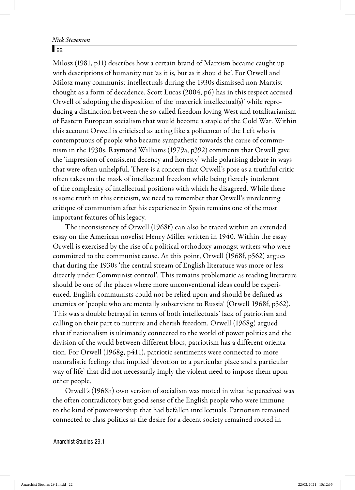#### $\sqrt{22}$

Milosz (1981, p11) describes how a certain brand of Marxism became caught up with descriptions of humanity not 'as it is, but as it should be'. For Orwell and Milosz many communist intellectuals during the 1930s dismissed non-Marxist thought as a form of decadence. Scott Lucas (2004, p6) has in this respect accused Orwell of adopting the disposition of the 'maverick intellectual(s)' while reproducing a distinction between the so-called freedom loving West and totalitarianism of Eastern European socialism that would become a staple of the Cold War. Within this account Orwell is criticised as acting like a policeman of the Left who is contemptuous of people who became sympathetic towards the cause of communism in the 1930s. Raymond Williams (1979a, p392) comments that Orwell gave the 'impression of consistent decency and honesty' while polarising debate in ways that were often unhelpful. There is a concern that Orwell's pose as a truthful critic often takes on the mask of intellectual freedom while being fiercely intolerant of the complexity of intellectual positions with which he disagreed. While there is some truth in this criticism, we need to remember that Orwell's unrelenting critique of communism after his experience in Spain remains one of the most important features of his legacy.

The inconsistency of Orwell (1968f) can also be traced within an extended essay on the American novelist Henry Miller written in 1940. Within the essay Orwell is exercised by the rise of a political orthodoxy amongst writers who were committed to the communist cause. At this point, Orwell (1968f, p562) argues that during the 1930s 'the central stream of English literature was more or less directly under Communist control'. This remains problematic as reading literature should be one of the places where more unconventional ideas could be experienced. English communists could not be relied upon and should be defined as enemies or 'people who are mentally subservient to Russia' (Orwell 1968f, p562). This was a double betrayal in terms of both intellectuals' lack of patriotism and calling on their part to nurture and cherish freedom. Orwell (1968g) argued that if nationalism is ultimately connected to the world of power politics and the division of the world between different blocs, patriotism has a different orientation. For Orwell (1968g, p411), patriotic sentiments were connected to more naturalistic feelings that implied 'devotion to a particular place and a particular way of life' that did not necessarily imply the violent need to impose them upon other people.

Orwell's (1968h) own version of socialism was rooted in what he perceived was the often contradictory but good sense of the English people who were immune to the kind of power-worship that had befallen intellectuals. Patriotism remained connected to class politics as the desire for a decent society remained rooted in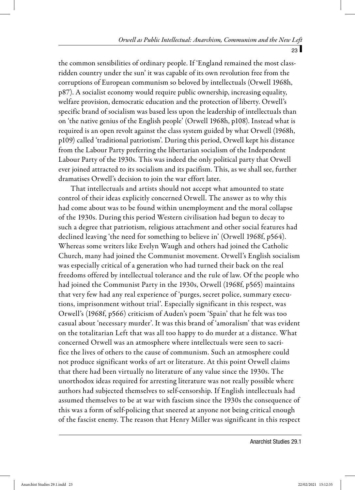the common sensibilities of ordinary people. If 'England remained the most classridden country under the sun' it was capable of its own revolution free from the corruptions of European communism so beloved by intellectuals (Orwell 1968h, p87). A socialist economy would require public ownership, increasing equality, welfare provision, democratic education and the protection of liberty. Orwell's specific brand of socialism was based less upon the leadership of intellectuals than on 'the native genius of the English people' (Orwell 1968h, p108). Instead what is required is an open revolt against the class system guided by what Orwell (1968h, p109) called 'traditional patriotism'. During this period, Orwell kept his distance from the Labour Party preferring the libertarian socialism of the Independent Labour Party of the 1930s. This was indeed the only political party that Orwell ever joined attracted to its socialism and its pacifism. This, as we shall see, further dramatises Orwell's decision to join the war effort later.

That intellectuals and artists should not accept what amounted to state control of their ideas explicitly concerned Orwell. The answer as to why this had come about was to be found within unemployment and the moral collapse of the 1930s. During this period Western civilisation had begun to decay to such a degree that patriotism, religious attachment and other social features had declined leaving 'the need for something to believe in' (Orwell 1968f, p564). Whereas some writers like Evelyn Waugh and others had joined the Catholic Church, many had joined the Communist movement. Orwell's English socialism was especially critical of a generation who had turned their back on the real freedoms offered by intellectual tolerance and the rule of law. Of the people who had joined the Communist Party in the 1930s, Orwell (1968f, p565) maintains that very few had any real experience of 'purges, secret police, summary executions, imprisonment without trial'. Especially significant in this respect, was Orwell's (1968f, p566) criticism of Auden's poem 'Spain' that he felt was too casual about 'necessary murder'. It was this brand of 'amoralism' that was evident on the totalitarian Left that was all too happy to do murder at a distance. What concerned Orwell was an atmosphere where intellectuals were seen to sacrifice the lives of others to the cause of communism. Such an atmosphere could not produce significant works of art or literature. At this point Orwell claims that there had been virtually no literature of any value since the 1930s. The unorthodox ideas required for arresting literature was not really possible where authors had subjected themselves to self-censorship. If English intellectuals had assumed themselves to be at war with fascism since the 1930s the consequence of this was a form of self-policing that sneered at anyone not being critical enough of the fascist enemy. The reason that Henry Miller was significant in this respect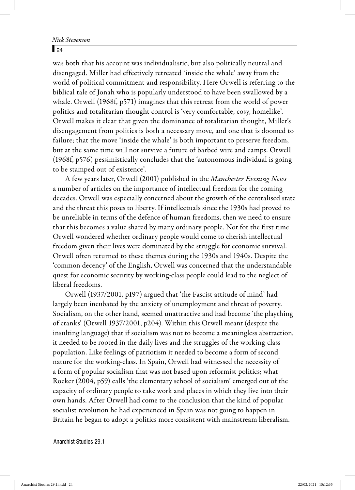#### $\sqrt{24}$

was both that his account was individualistic, but also politically neutral and disengaged. Miller had effectively retreated 'inside the whale' away from the world of political commitment and responsibility. Here Orwell is referring to the biblical tale of Jonah who is popularly understood to have been swallowed by a whale. Orwell (1968f, p571) imagines that this retreat from the world of power politics and totalitarian thought control is 'very comfortable, cosy, homelike'. Orwell makes it clear that given the dominance of totalitarian thought, Miller's disengagement from politics is both a necessary move, and one that is doomed to failure; that the move 'inside the whale' is both important to preserve freedom, but at the same time will not survive a future of barbed wire and camps. Orwell (1968f, p576) pessimistically concludes that the 'autonomous individual is going to be stamped out of existence'.

A few years later, Orwell (2001) published in the Manchester Evening News a number of articles on the importance of intellectual freedom for the coming decades. Orwell was especially concerned about the growth of the centralised state and the threat this poses to liberty. If intellectuals since the 1930s had proved to be unreliable in terms of the defence of human freedoms, then we need to ensure that this becomes a value shared by many ordinary people. Not for the first time Orwell wondered whether ordinary people would come to cherish intellectual freedom given their lives were dominated by the struggle for economic survival. Orwell often returned to these themes during the 1930s and 1940s. Despite the 'common decency' of the English, Orwell was concerned that the understandable quest for economic security by working-class people could lead to the neglect of liberal freedoms.

Orwell (1937/2001, p197) argued that 'the Fascist attitude of mind' had largely been incubated by the anxiety of unemployment and threat of poverty. Socialism, on the other hand, seemed unattractive and had become 'the plaything of cranks' (Orwell 1937/2001, p204). Within this Orwell meant (despite the insulting language) that if socialism was not to become a meaningless abstraction, it needed to be rooted in the daily lives and the struggles of the working-class population. Like feelings of patriotism it needed to become a form of second nature for the working-class. In Spain, Orwell had witnessed the necessity of a form of popular socialism that was not based upon reformist politics; what Rocker (2004, p59) calls 'the elementary school of socialism' emerged out of the capacity of ordinary people to take work and places in which they live into their own hands. After Orwell had come to the conclusion that the kind of popular socialist revolution he had experienced in Spain was not going to happen in Britain he began to adopt a politics more consistent with mainstream liberalism.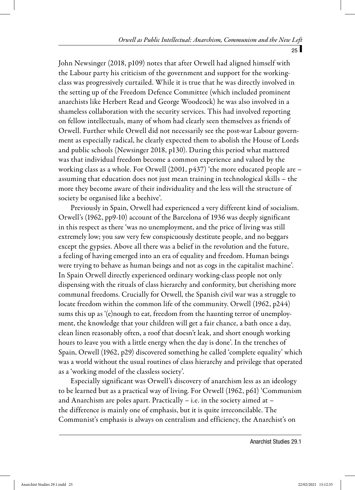John Newsinger (2018, p109) notes that after Orwell had aligned himself with the Labour party his criticism of the government and support for the workingclass was progressively curtailed. While it is true that he was directly involved in the setting up of the Freedom Defence Committee (which included prominent anarchists like Herbert Read and George Woodcock) he was also involved in a shameless collaboration with the security services. This had involved reporting on fellow intellectuals, many of whom had clearly seen themselves as friends of Orwell. Further while Orwell did not necessarily see the post-war Labour government as especially radical, he clearly expected them to abolish the House of Lords and public schools (Newsinger 2018, p130). During this period what mattered was that individual freedom become a common experience and valued by the working class as a whole. For Orwell (2001, p437) 'the more educated people are – assuming that education does not just mean training in technological skills – the more they become aware of their individuality and the less will the structure of society be organised like a beehive'.

Previously in Spain, Orwell had experienced a very different kind of socialism. Orwell's (1962, pp9-10) account of the Barcelona of 1936 was deeply significant in this respect as there 'was no unemployment, and the price of living was still extremely low; you saw very few conspicuously destitute people, and no beggars except the gypsies. Above all there was a belief in the revolution and the future, a feeling of having emerged into an era of equality and freedom. Human beings were trying to behave as human beings and not as cogs in the capitalist machine'. In Spain Orwell directly experienced ordinary working-class people not only dispensing with the rituals of class hierarchy and conformity, but cherishing more communal freedoms. Crucially for Orwell, the Spanish civil war was a struggle to locate freedom within the common life of the community. Orwell (1962, p244) sums this up as '(e)nough to eat, freedom from the haunting terror of unemployment, the knowledge that your children will get a fair chance, a bath once a day, clean linen reasonably often, a roof that doesn't leak, and short enough working hours to leave you with a little energy when the day is done'. In the trenches of Spain, Orwell (1962, p29) discovered something he called 'complete equality' which was a world without the usual routines of class hierarchy and privilege that operated as a 'working model of the classless society'.

Especially significant was Orwell's discovery of anarchism less as an ideology to be learned but as a practical way of living. For Orwell (1962, p61) 'Communism and Anarchism are poles apart. Practically – i.e. in the society aimed at – the difference is mainly one of emphasis, but it is quite irreconcilable. The Communist's emphasis is always on centralism and efficiency, the Anarchist's on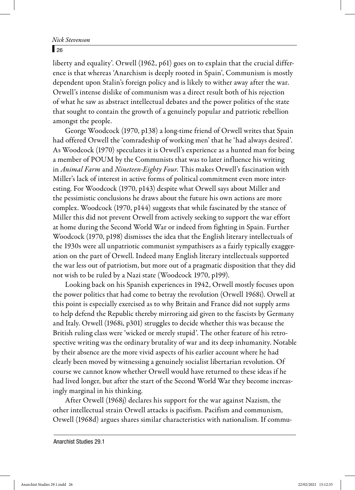#### $\overline{26}$

liberty and equality'. Orwell (1962, p61) goes on to explain that the crucial difference is that whereas 'Anarchism is deeply rooted in Spain', Communism is mostly dependent upon Stalin's foreign policy and is likely to wither away after the war. Orwell's intense dislike of communism was a direct result both of his rejection of what he saw as abstract intellectual debates and the power politics of the state that sought to contain the growth of a genuinely popular and patriotic rebellion amongst the people.

George Woodcock (1970, p138) a long-time friend of Orwell writes that Spain had offered Orwell the 'comradeship of working men' that he 'had always desired'. As Woodcock (1970) speculates it is Orwell's experience as a hunted man for being a member of POUM by the Communists that was to later influence his writing in Animal Farm and Nineteen-Eighty Four. This makes Orwell's fascination with Miller's lack of interest in active forms of political commitment even more interesting. For Woodcock (1970, p143) despite what Orwell says about Miller and the pessimistic conclusions he draws about the future his own actions are more complex. Woodcock (1970, p144) suggests that while fascinated by the stance of Miller this did not prevent Orwell from actively seeking to support the war effort at home during the Second World War or indeed from fighting in Spain. Further Woodcock (1970, p198) dismisses the idea that the English literary intellectuals of the 1930s were all unpatriotic communist sympathisers as a fairly typically exaggeration on the part of Orwell. Indeed many English literary intellectuals supported the war less out of patriotism, but more out of a pragmatic disposition that they did not wish to be ruled by a Nazi state (Woodcock 1970, p199).

Looking back on his Spanish experiences in 1942, Orwell mostly focuses upon the power politics that had come to betray the revolution (Orwell 1968i). Orwell at this point is especially exercised as to why Britain and France did not supply arms to help defend the Republic thereby mirroring aid given to the fascists by Germany and Italy. Orwell (1968i, p301) struggles to decide whether this was because the British ruling class were 'wicked or merely stupid'. The other feature of his retrospective writing was the ordinary brutality of war and its deep inhumanity. Notable by their absence are the more vivid aspects of his earlier account where he had clearly been moved by witnessing a genuinely socialist libertarian revolution. Of course we cannot know whether Orwell would have returned to these ideas if he had lived longer, but after the start of the Second World War they become increasingly marginal in his thinking.

After Orwell (1968j) declares his support for the war against Nazism, the other intellectual strain Orwell attacks is pacifism. Pacifism and communism, Orwell (1968d) argues shares similar characteristics with nationalism. If commu-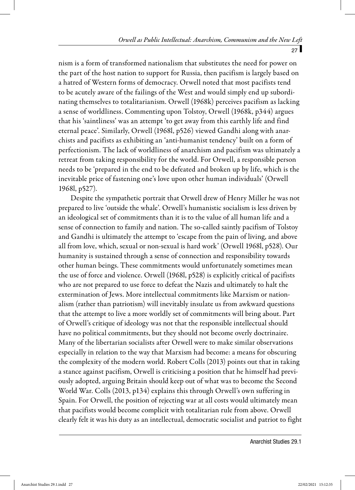nism is a form of transformed nationalism that substitutes the need for power on the part of the host nation to support for Russia, then pacifism is largely based on a hatred of Western forms of democracy. Orwell noted that most pacifists tend to be acutely aware of the failings of the West and would simply end up subordinating themselves to totalitarianism. Orwell (1968k) perceives pacifism as lacking a sense of worldliness. Commenting upon Tolstoy, Orwell (1968k, p344) argues that his 'saintliness' was an attempt 'to get away from this earthly life and find eternal peace'. Similarly, Orwell (1968l, p526) viewed Gandhi along with anarchists and pacifists as exhibiting an 'anti-humanist tendency' built on a form of perfectionism. The lack of worldliness of anarchism and pacifism was ultimately a retreat from taking responsibility for the world. For Orwell, a responsible person needs to be 'prepared in the end to be defeated and broken up by life, which is the inevitable price of fastening one's love upon other human individuals' (Orwell 1968l, p527).

Despite the sympathetic portrait that Orwell drew of Henry Miller he was not prepared to live 'outside the whale'. Orwell's humanistic socialism is less driven by an ideological set of commitments than it is to the value of all human life and a sense of connection to family and nation. The so-called saintly pacifism of Tolstoy and Gandhi is ultimately the attempt to 'escape from the pain of living, and above all from love, which, sexual or non-sexual is hard work' (Orwell 1968l, p528). Our humanity is sustained through a sense of connection and responsibility towards other human beings. These commitments would unfortunately sometimes mean the use of force and violence. Orwell (1968l, p528) is explicitly critical of pacifists who are not prepared to use force to defeat the Nazis and ultimately to halt the extermination of Jews. More intellectual commitments like Marxism or nationalism (rather than patriotism) will inevitably insulate us from awkward questions that the attempt to live a more worldly set of commitments will bring about. Part of Orwell's critique of ideology was not that the responsible intellectual should have no political commitments, but they should not become overly doctrinaire. Many of the libertarian socialists after Orwell were to make similar observations especially in relation to the way that Marxism had become: a means for obscuring the complexity of the modern world. Robert Colls (2013) points out that in taking a stance against pacifism, Orwell is criticising a position that he himself had previously adopted, arguing Britain should keep out of what was to become the Second World War. Colls (2013, p134) explains this through Orwell's own suffering in Spain. For Orwell, the position of rejecting war at all costs would ultimately mean that pacifists would become complicit with totalitarian rule from above. Orwell clearly felt it was his duty as an intellectual, democratic socialist and patriot to fight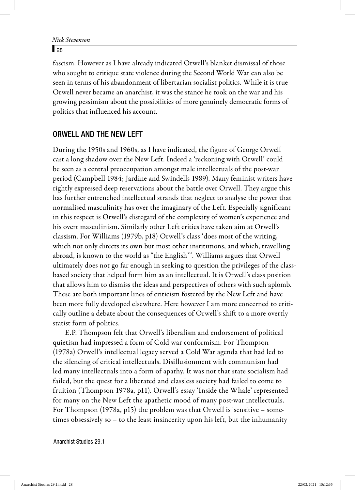$\sqrt{28}$ 

fascism. However as I have already indicated Orwell's blanket dismissal of those who sought to critique state violence during the Second World War can also be seen in terms of his abandonment of libertarian socialist politics. While it is true Orwell never became an anarchist, it was the stance he took on the war and his growing pessimism about the possibilities of more genuinely democratic forms of politics that influenced his account.

## ORWELL AND THE NEW LEFT

During the 1950s and 1960s, as I have indicated, the figure of George Orwell cast a long shadow over the New Left. Indeed a 'reckoning with Orwell' could be seen as a central preoccupation amongst male intellectuals of the post-war period (Campbell 1984; Jardine and Swindells 1989). Many feminist writers have rightly expressed deep reservations about the battle over Orwell. They argue this has further entrenched intellectual strands that neglect to analyse the power that normalised masculinity has over the imaginary of the Left. Especially significant in this respect is Orwell's disregard of the complexity of women's experience and his overt masculinism. Similarly other Left critics have taken aim at Orwell's classism. For Williams (1979b, p18) Orwell's class 'does most of the writing, which not only directs its own but most other institutions, and which, travelling abroad, is known to the world as "the English'''. Williams argues that Orwell ultimately does not go far enough in seeking to question the privileges of the classbased society that helped form him as an intellectual. It is Orwell's class position that allows him to dismiss the ideas and perspectives of others with such aplomb. These are both important lines of criticism fostered by the New Left and have been more fully developed elsewhere. Here however I am more concerned to critically outline a debate about the consequences of Orwell's shift to a more overtly statist form of politics.

E.P. Thompson felt that Orwell's liberalism and endorsement of political quietism had impressed a form of Cold war conformism. For Thompson (1978a) Orwell's intellectual legacy served a Cold War agenda that had led to the silencing of critical intellectuals. Disillusionment with communism had led many intellectuals into a form of apathy. It was not that state socialism had failed, but the quest for a liberated and classless society had failed to come to fruition (Thompson 1978a, p11). Orwell's essay 'Inside the Whale' represented for many on the New Left the apathetic mood of many post-war intellectuals. For Thompson (1978a, p15) the problem was that Orwell is 'sensitive – sometimes obsessively so – to the least insincerity upon his left, but the inhumanity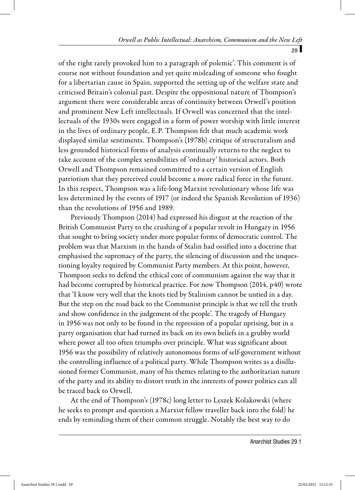of the right rarely provoked him to a paragraph of polemic'. This comment is of course not without foundation and yet quite misleading of someone who fought for a libertarian cause in Spain, supported the setting up of the welfare state and criticised Britain's colonial past. Despite the oppositional nature of Thompson's argument there were considerable areas of continuity between Orwell's position and prominent New Left intellectuals. If Orwell was concerned that the intellectuals of the 1930s were engaged in a form of power worship with little interest in the lives of ordinary people, E.P. Thompson felt that much academic work displayed similar sentiments. Thompson's (1978b) critique of structuralism and less grounded historical forms of analysis continually returns to the neglect to take account of the complex sensibilities of 'ordinary' historical actors. Both Orwell and Thompson remained committed to a certain version of English patriotism that they perceived could become a more radical force in the future. In this respect, Thompson was a life-long Marxist revolutionary whose life was less determined by the events of 1917 (or indeed the Spanish Revolution of 1936) than the revolutions of 1956 and 1989.

Previously Thompson (2014) had expressed his disgust at the reaction of the British Communist Party to the crushing of a popular revolt in Hungary in 1956 that sought to bring society under more popular forms of democratic control. The problem was that Marxism in the hands of Stalin had ossified into a doctrine that emphasised the supremacy of the party, the silencing of discussion and the unquestioning loyalty required by Communist Party members. At this point, however, Thompson seeks to defend the ethical core of communism against the way that it had become corrupted by historical practice. For now Thompson (2014, p40) wrote that 'I know very well that the knots tied by Stalinism cannot be untied in a day. But the step on the road back to the Communist principle is that we tell the truth and show confidence in the judgement of the people'. The tragedy of Hungary in 1956 was not only to be found in the repression of a popular uprising, but in a party organisation that had turned its back on its own beliefs in a grubby world where power all too often triumphs over principle. What was significant about 1956 was the possibility of relatively autonomous forms of self-government without the controlling influence of a political party. While Thompson writes as a disillusioned former Communist, many of his themes relating to the authoritarian nature of the party and its ability to distort truth in the interests of power politics can all be traced back to Orwell.

At the end of Thompson's (1978c) long letter to Leszek Kolakowski (where he seeks to prompt and question a Marxist fellow traveller back into the fold) he ends by reminding them of their common struggle. Notably the best way to do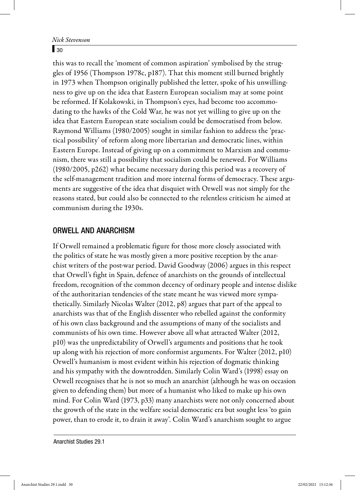#### $\sqrt{30}$

this was to recall the 'moment of common aspiration' symbolised by the struggles of 1956 (Thompson 1978c, p187). That this moment still burned brightly in 1973 when Thompson originally published the letter, spoke of his unwillingness to give up on the idea that Eastern European socialism may at some point be reformed. If Kolakowski, in Thompson's eyes, had become too accommodating to the hawks of the Cold War, he was not yet willing to give up on the idea that Eastern European state socialism could be democratised from below. Raymond Williams (1980/2005) sought in similar fashion to address the 'practical possibility' of reform along more libertarian and democratic lines, within Eastern Europe. Instead of giving up on a commitment to Marxism and communism, there was still a possibility that socialism could be renewed. For Williams (1980/2005, p262) what became necessary during this period was a recovery of the self-management tradition and more internal forms of democracy. These arguments are suggestive of the idea that disquiet with Orwell was not simply for the reasons stated, but could also be connected to the relentless criticism he aimed at communism during the 1930s.

#### ORWELL AND ANARCHISM

If Orwell remained a problematic figure for those more closely associated with the politics of state he was mostly given a more positive reception by the anarchist writers of the post-war period. David Goodway (2006) argues in this respect that Orwell's fight in Spain, defence of anarchists on the grounds of intellectual freedom, recognition of the common decency of ordinary people and intense dislike of the authoritarian tendencies of the state meant he was viewed more sympathetically. Similarly Nicolas Walter (2012, p8) argues that part of the appeal to anarchists was that of the English dissenter who rebelled against the conformity of his own class background and the assumptions of many of the socialists and communists of his own time. However above all what attracted Walter (2012, p10) was the unpredictability of Orwell's arguments and positions that he took up along with his rejection of more conformist arguments. For Walter (2012, p10) Orwell's humanism is most evident within his rejection of dogmatic thinking and his sympathy with the downtrodden. Similarly Colin Ward's (1998) essay on Orwell recognises that he is not so much an anarchist (although he was on occasion given to defending them) but more of a humanist who liked to make up his own mind. For Colin Ward (1973, p33) many anarchists were not only concerned about the growth of the state in the welfare social democratic era but sought less 'to gain power, than to erode it, to drain it away'. Colin Ward's anarchism sought to argue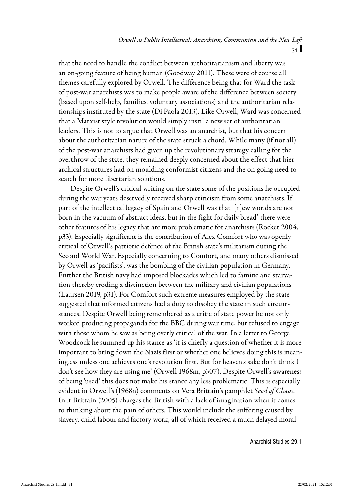that the need to handle the conflict between authoritarianism and liberty was an on-going feature of being human (Goodway 2011). These were of course all themes carefully explored by Orwell. The difference being that for Ward the task of post-war anarchists was to make people aware of the difference between society (based upon self-help, families, voluntary associations) and the authoritarian relationships instituted by the state (Di Paola 2013). Like Orwell, Ward was concerned that a Marxist style revolution would simply instil a new set of authoritarian leaders. This is not to argue that Orwell was an anarchist, but that his concern about the authoritarian nature of the state struck a chord. While many (if not all) of the post-war anarchists had given up the revolutionary strategy calling for the overthrow of the state, they remained deeply concerned about the effect that hierarchical structures had on moulding conformist citizens and the on-going need to search for more libertarian solutions.

Despite Orwell's critical writing on the state some of the positions he occupied during the war years deservedly received sharp criticism from some anarchists. If part of the intellectual legacy of Spain and Orwell was that '[n]ew worlds are not born in the vacuum of abstract ideas, but in the fight for daily bread' there were other features of his legacy that are more problematic for anarchists (Rocker 2004, p33). Especially significant is the contribution of Alex Comfort who was openly critical of Orwell's patriotic defence of the British state's militarism during the Second World War. Especially concerning to Comfort, and many others dismissed by Orwell as 'pacifists', was the bombing of the civilian population in Germany. Further the British navy had imposed blockades which led to famine and starvation thereby eroding a distinction between the military and civilian populations (Laursen 2019, p31). For Comfort such extreme measures employed by the state suggested that informed citizens had a duty to disobey the state in such circumstances. Despite Orwell being remembered as a critic of state power he not only worked producing propaganda for the BBC during war time, but refused to engage with those whom he saw as being overly critical of the war. In a letter to George Woodcock he summed up his stance as 'it is chiefly a question of whether it is more important to bring down the Nazis first or whether one believes doing this is meaningless unless one achieves one's revolution first. But for heaven's sake don't think I don't see how they are using me' (Orwell 1968m, p307). Despite Orwell's awareness of being 'used' this does not make his stance any less problematic. This is especially evident in Orwell's (1968n) comments on Vera Brittain's pamphlet Seed of Chaos. In it Brittain (2005) charges the British with a lack of imagination when it comes to thinking about the pain of others. This would include the suffering caused by slavery, child labour and factory work, all of which received a much delayed moral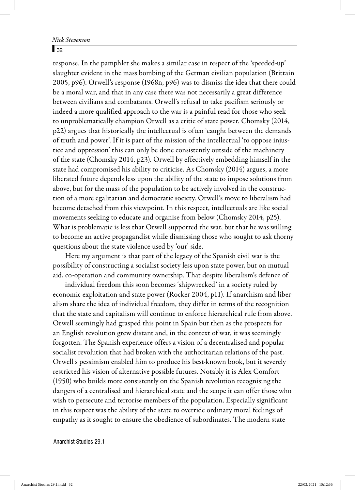#### $\sqrt{32}$

response. In the pamphlet she makes a similar case in respect of the 'speeded-up' slaughter evident in the mass bombing of the German civilian population (Brittain 2005, p96). Orwell's response (1968n, p96) was to dismiss the idea that there could be a moral war, and that in any case there was not necessarily a great difference between civilians and combatants. Orwell's refusal to take pacifism seriously or indeed a more qualified approach to the war is a painful read for those who seek to unproblematically champion Orwell as a critic of state power. Chomsky (2014, p22) argues that historically the intellectual is often 'caught between the demands of truth and power'. If it is part of the mission of the intellectual 'to oppose injustice and oppression' this can only be done consistently outside of the machinery of the state (Chomsky 2014, p23). Orwell by effectively embedding himself in the state had compromised his ability to criticise. As Chomsky (2014) argues, a more liberated future depends less upon the ability of the state to impose solutions from above, but for the mass of the population to be actively involved in the construction of a more egalitarian and democratic society. Orwell's move to liberalism had become detached from this viewpoint. In this respect, intellectuals are like social movements seeking to educate and organise from below (Chomsky 2014, p25). What is problematic is less that Orwell supported the war, but that he was willing to become an active propagandist while dismissing those who sought to ask thorny questions about the state violence used by 'our' side.

Here my argument is that part of the legacy of the Spanish civil war is the possibility of constructing a socialist society less upon state power, but on mutual aid, co-operation and community ownership. That despite liberalism's defence of

individual freedom this soon becomes 'shipwrecked' in a society ruled by economic exploitation and state power (Rocker 2004, p11). If anarchism and liberalism share the idea of individual freedom, they differ in terms of the recognition that the state and capitalism will continue to enforce hierarchical rule from above. Orwell seemingly had grasped this point in Spain but then as the prospects for an English revolution grew distant and, in the context of war, it was seemingly forgotten. The Spanish experience offers a vision of a decentralised and popular socialist revolution that had broken with the authoritarian relations of the past. Orwell's pessimism enabled him to produce his best-known book, but it severely restricted his vision of alternative possible futures. Notably it is Alex Comfort (1950) who builds more consistently on the Spanish revolution recognising the dangers of a centralised and hierarchical state and the scope it can offer those who wish to persecute and terrorise members of the population. Especially significant in this respect was the ability of the state to override ordinary moral feelings of empathy as it sought to ensure the obedience of subordinates. The modern state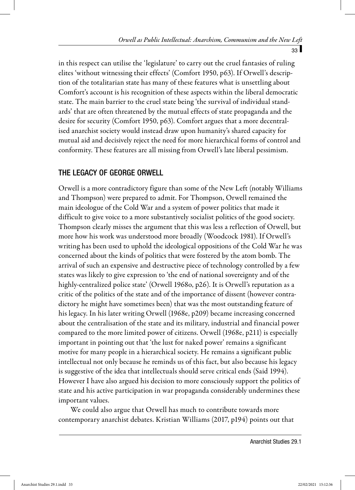in this respect can utilise the 'legislature' to carry out the cruel fantasies of ruling elites 'without witnessing their effects' (Comfort 1950, p63). If Orwell's description of the totalitarian state has many of these features what is unsettling about Comfort's account is his recognition of these aspects within the liberal democratic state. The main barrier to the cruel state being 'the survival of individual standards' that are often threatened by the mutual effects of state propaganda and the desire for security (Comfort 1950, p63). Comfort argues that a more decentralised anarchist society would instead draw upon humanity's shared capacity for mutual aid and decisively reject the need for more hierarchical forms of control and conformity. These features are all missing from Orwell's late liberal pessimism.

# THE LEGACY OF GEORGE ORWELL

Orwell is a more contradictory figure than some of the New Left (notably Williams and Thompson) were prepared to admit. For Thompson, Orwell remained the main ideologue of the Cold War and a system of power politics that made it difficult to give voice to a more substantively socialist politics of the good society. Thompson clearly misses the argument that this was less a reflection of Orwell, but more how his work was understood more broadly (Woodcock 1981). If Orwell's writing has been used to uphold the ideological oppositions of the Cold War he was concerned about the kinds of politics that were fostered by the atom bomb. The arrival of such an expensive and destructive piece of technology controlled by a few states was likely to give expression to 'the end of national sovereignty and of the highly-centralized police state' (Orwell 1968o, p26). It is Orwell's reputation as a critic of the politics of the state and of the importance of dissent (however contradictory he might have sometimes been) that was the most outstanding feature of his legacy. In his later writing Orwell (1968e, p209) became increasing concerned about the centralisation of the state and its military, industrial and financial power compared to the more limited power of citizens. Orwell (1968e, p211) is especially important in pointing out that 'the lust for naked power' remains a significant motive for many people in a hierarchical society. He remains a significant public intellectual not only because he reminds us of this fact, but also because his legacy is suggestive of the idea that intellectuals should serve critical ends (Said 1994). However I have also argued his decision to more consciously support the politics of state and his active participation in war propaganda considerably undermines these important values.

We could also argue that Orwell has much to contribute towards more contemporary anarchist debates. Kristian Williams (2017, p194) points out that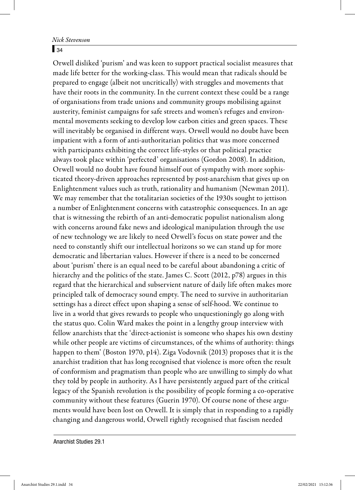#### $\overline{34}$

Orwell disliked 'purism' and was keen to support practical socialist measures that made life better for the working-class. This would mean that radicals should be prepared to engage (albeit not uncritically) with struggles and movements that have their roots in the community. In the current context these could be a range of organisations from trade unions and community groups mobilising against austerity, feminist campaigns for safe streets and women's refuges and environmental movements seeking to develop low carbon cities and green spaces. These will inevitably be organised in different ways. Orwell would no doubt have been impatient with a form of anti-authoritarian politics that was more concerned with participants exhibiting the correct life-styles or that political practice always took place within 'perfected' organisations (Gordon 2008). In addition, Orwell would no doubt have found himself out of sympathy with more sophisticated theory-driven approaches represented by post-anarchism that gives up on Enlightenment values such as truth, rationality and humanism (Newman 2011). We may remember that the totalitarian societies of the 1930s sought to jettison a number of Enlightenment concerns with catastrophic consequences. In an age that is witnessing the rebirth of an anti-democratic populist nationalism along with concerns around fake news and ideological manipulation through the use of new technology we are likely to need Orwell's focus on state power and the need to constantly shift our intellectual horizons so we can stand up for more democratic and libertarian values. However if there is a need to be concerned about 'purism' there is an equal need to be careful about abandoning a critic of hierarchy and the politics of the state. James C. Scott (2012, p78) argues in this regard that the hierarchical and subservient nature of daily life often makes more principled talk of democracy sound empty. The need to survive in authoritarian settings has a direct effect upon shaping a sense of self-hood. We continue to live in a world that gives rewards to people who unquestioningly go along with the status quo. Colin Ward makes the point in a lengthy group interview with fellow anarchists that the 'direct-actionist is someone who shapes his own destiny while other people are victims of circumstances, of the whims of authority: things happen to them' (Boston 1970, p14). Ziga Vodovnik (2013) proposes that it is the anarchist tradition that has long recognised that violence is more often the result of conformism and pragmatism than people who are unwilling to simply do what they told by people in authority. As I have persistently argued part of the critical legacy of the Spanish revolution is the possibility of people forming a co-operative community without these features (Guerin 1970). Of course none of these arguments would have been lost on Orwell. It is simply that in responding to a rapidly changing and dangerous world, Orwell rightly recognised that fascism needed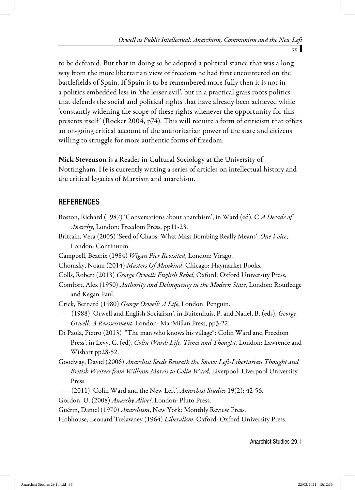to be defeated. But that in doing so he adopted a political stance that was a long way from the more libertarian view of freedom he had first encountered on the battlefields of Spain. If Spain is to be remembered more fully then it is not in a politics embedded less in 'the lesser evil', but in a practical grass roots politics that defends the social and political rights that have already been achieved while 'constantly widening the scope of these rights whenever the opportunity for this presents itself ' (Rocker 2004, p74). This will require a form of criticism that offers an on-going critical account of the authoritarian power of the state and citizens willing to struggle for more authentic forms of freedom.

**Nick Stevenson** is a Reader in Cultural Sociology at the University of Nottingham. He is currently writing a series of articles on intellectual history and the critical legacies of Marxism and anarchism.

# **REFERENCES**

- Boston, Richard (1987) 'Conversations about anarchism', in Ward (ed), C.A Decade of Anarchy, London: Freedom Press, pp11-23.
- Brittain, Vera (2005) 'Seed of Chaos: What Mass Bombing Really Means', One Voice, London: Continuum.
- Campbell, Beatrix (1984) Wigan Pier Revisited, London: Virago.
- Chomsky, Noam (2014) Masters Of Mankind, Chicago: Haymarket Books.
- Colls, Robert (2013) George Orwell: English Rebel, Oxford: Oxford University Press.
- Comfort, Alex (1950) Authority and Delinquency in the Modern State, London: Routledge and Kegan Paul.
- Crick, Bernard (1980) George Orwell: A Life, London: Penguin.
- —(1988) 'Orwell and English Socialism', in Buitenhuis, P. and Nadel, B. (eds), *George* Orwell: A Reassessment, London: MacMillan Press, pp3-22.
- Di Paola, Pietro (2013) '"The man who knows his village": Colin Ward and Freedom Press', in Levy, C. (ed), Colin Ward: Life, Times and Thought, London: Lawrence and Wishart pp28-52.
- Goodway, David (2006) Anarchist Seeds Beneath the Snow: Left-Libertarian Thought and British Writers from William Morris to Colin Ward, Liverpool: Liverpool University Press.
- $-(2011)$  'Colin Ward and the New Left', Anarchist Studies 19(2): 42-56.
- Gordon, U. (2008) Anarchy Alive!, London: Pluto Press.

Guérin, Daniel (1970) Anarchism, New York: Monthly Review Press.

Hobhouse, Leonard Trelawney (1964) Liberalism, Oxford: Oxford University Press.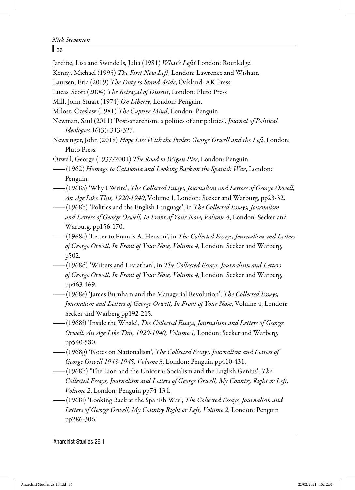#### $\sqrt{36}$

Jardine, Lisa and Swindells, Julia (1981) What's Left? London: Routledge.

Kenny, Michael (1995) The First New Left, London: Lawrence and Wishart.

Laursen, Eric (2019) The Duty to Stand Aside, Oakland: AK Press.

Lucas, Scott (2004) The Betrayal of Dissent, London: Pluto Press

Mill, John Stuart (1974) On Liberty, London: Penguin.

Milosz, Czeslaw (1981) The Captive Mind, London: Penguin.

Newman, Saul (2011) 'Post-anarchism: a politics of antipolitics', Journal of Political Ideologies 16(3): 313-327.

Newsinger, John (2018) Hope Lies With the Proles: George Orwell and the Left, London: Pluto Press.

Orwell, George (1937/2001) The Road to Wigan Pier, London: Penguin.

—— (1962) Homage to Catalonia and Looking Back on the Spanish War, London: Penguin.

—— (1968a) 'Why I Write', The Collected Essays, Journalism and Letters of George Orwell, An Age Like This, 1920-1940, Volume 1, London: Secker and Warburg, pp23-32.

— (1968b) 'Politics and the English Language', in The Collected Essays, Journalism and Letters of George Orwell, In Front of Your Nose, Volume 4, London: Secker and Warburg, pp156-170.

— (1968c) 'Letter to Francis A. Henson', in *The Collected Essays, Journalism and Letters* of George Orwell, In Front of Your Nose, Volume 4, London: Secker and Warberg, p502.

—(1968d) 'Writers and Leviathan', in *The Collected Essays, Journalism and Letters* of George Orwell, In Front of Your Nose, Volume 4, London: Secker and Warberg, pp463-469.

 $-(1968e)$  James Burnham and the Managerial Revolution', The Collected Essays, Journalism and Letters of George Orwell, In Front of Your Nose, Volume 4, London: Secker and Warberg pp192-215.

—(1968f) 'Inside the Whale', *The Collected Essays, Journalism and Letters of George* Orwell, An Age Like This, 1920-1940, Volume 1, London: Secker and Warberg, pp540-580.

 $-(1968g)$  'Notes on Nationalism', *The Collected Essays, Journalism and Letters of* George Orwell 1943-1945, Volume 3, London: Penguin pp410-431.

 $-(1968h)$  'The Lion and the Unicorn: Socialism and the English Genius', The Collected Essays, Journalism and Letters of George Orwell, My Country Right or Left, Volume 2, London: Penguin pp74-134.

—(1968i) 'Looking Back at the Spanish War', *The Collected Essays, Journalism and* Letters of George Orwell, My Country Right or Left, Volume 2, London: Penguin pp286-306.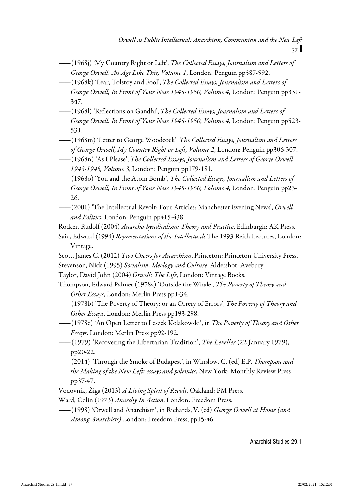- $-(1968\mathfrak{i})$  'My Country Right or Left', *The Collected Essays, Journalism and Letters of* George Orwell, An Age Like This, Volume 1, London: Penguin pp587-592.
- —— (1968k) 'Lear, Tolstoy and Fool', The Collected Essays, Journalism and Letters of George Orwell, In Front of Your Nose 1945-1950, Volume 4, London: Penguin pp331- 347.
- —— (1968l) 'Reflections on Gandhi', The Collected Essays, Journalism and Letters of George Orwell, In Front of Your Nose 1945-1950, Volume 4, London: Penguin pp523- 531.
- —(1968m) 'Letter to George Woodcock', *The Collected Essays, Journalism and Letters* of George Orwell, My Country Right or Left, Volume 2, London: Penguin pp306-307.
- —— (1968n) 'As I Please', The Collected Essays, Journalism and Letters of George Orwell 1943-1945, Volume 3, London: Penguin pp179-181.
- ——(1968o) 'You and the Atom Bomb', *The Collected Essays, Journalism and Letters of* George Orwell, In Front of Your Nose 1945-1950, Volume 4, London: Penguin pp23- 26.
- -(2001) 'The Intellectual Revolt: Four Articles: Manchester Evening News', Orwell and Politics, London: Penguin pp415-438.

Rocker, Rudolf (2004) Anarcho-Syndicalism: Theory and Practice, Edinburgh: AK Press.

- Said, Edward (1994) Representations of the Intellectual: The 1993 Reith Lectures, London: Vintage.
- Scott, James C. (2012) Two Cheers for Anarchism, Princeton: Princeton University Press. Stevenson, Nick (1995) Socialism, Ideology and Culture, Aldershot: Avebury.
- Taylor, David John (2004) Orwell: The Life, London: Vintage Books.
- Thompson, Edward Palmer (1978a) 'Outside the Whale', The Poverty of Theory and Other Essays, London: Merlin Press pp1-34.
- (1978b) 'The Poverty of Theory: or an Orrery of Errors', *The Poverty of Theory and* Other Essays, London: Merlin Press pp193-298.
- —— (1978c) 'An Open Letter to Leszek Kolakowski', in *The Poverty of Theory and Other* Essays, London: Merlin Press pp92-192.
- —(1979) 'Recovering the Libertarian Tradition', *The Leveller* (22 January 1979), pp20-22.
- —— (2014) 'Through the Smoke of Budapest', in Winslow, C. (ed) E.P. *Thompson and* the Making of the New Left; essays and polemics, New York: Monthly Review Press pp37-47.

Vodovnik, Žiga (2013) A Living Spirit of Revolt, Oakland: PM Press.

Ward, Colin (1973) Anarchy In Action, London: Freedom Press.

-(1998) 'Orwell and Anarchism', in Richards, V. (ed) *George Orwell at Home (and* Among Anarchists) London: Freedom Press, pp15-46.